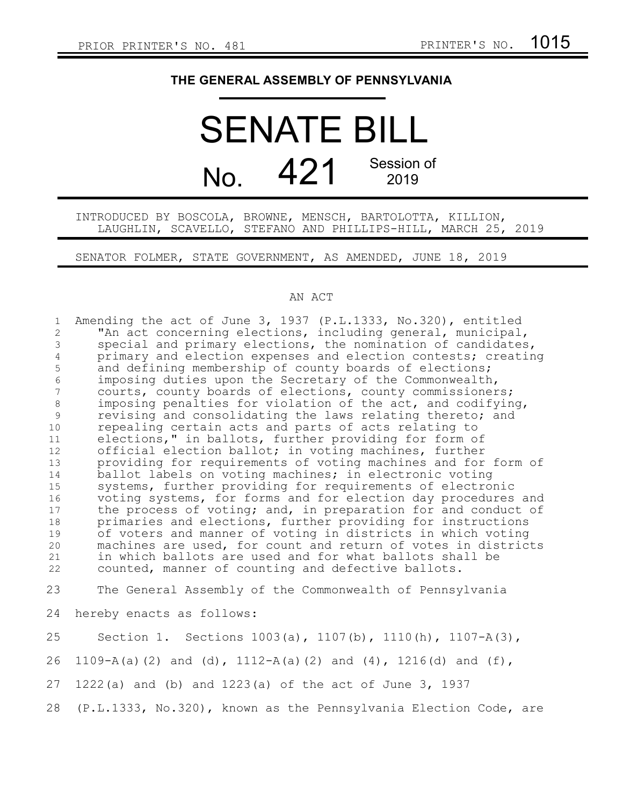## **THE GENERAL ASSEMBLY OF PENNSYLVANIA**

## SENATE BILL  $N<sub>0</sub>$  421 Session of 2019

INTRODUCED BY BOSCOLA, BROWNE, MENSCH, BARTOLOTTA, KILLION, LAUGHLIN, SCAVELLO, STEFANO AND PHILLIPS-HILL, MARCH 25, 2019

SENATOR FOLMER, STATE GOVERNMENT, AS AMENDED, JUNE 18, 2019

## AN ACT

Amending the act of June 3, 1937 (P.L.1333, No.320), entitled "An act concerning elections, including general, municipal, special and primary elections, the nomination of candidates, primary and election expenses and election contests; creating and defining membership of county boards of elections; imposing duties upon the Secretary of the Commonwealth, courts, county boards of elections, county commissioners; imposing penalties for violation of the act, and codifying, revising and consolidating the laws relating thereto; and repealing certain acts and parts of acts relating to elections," in ballots, further providing for form of official election ballot; in voting machines, further providing for requirements of voting machines and for form of ballot labels on voting machines; in electronic voting systems, further providing for requirements of electronic voting systems, for forms and for election day procedures and the process of voting; and, in preparation for and conduct of primaries and elections, further providing for instructions of voters and manner of voting in districts in which voting machines are used, for count and return of votes in districts in which ballots are used and for what ballots shall be counted, manner of counting and defective ballots. The General Assembly of the Commonwealth of Pennsylvania hereby enacts as follows: 1 2 3 4 5 6 7 8 9 10 11 12 13 14 15 16 17 18 19 20 21 22 23 24

Section 1. Sections 1003(a), 1107(b), 1110(h), 1107-A(3), 1109-A(a)(2) and (d), 1112-A(a)(2) and (4), 1216(d) and (f), 1222(a) and (b) and 1223(a) of the act of June 3, 1937 (P.L.1333, No.320), known as the Pennsylvania Election Code, are 25 26 27 28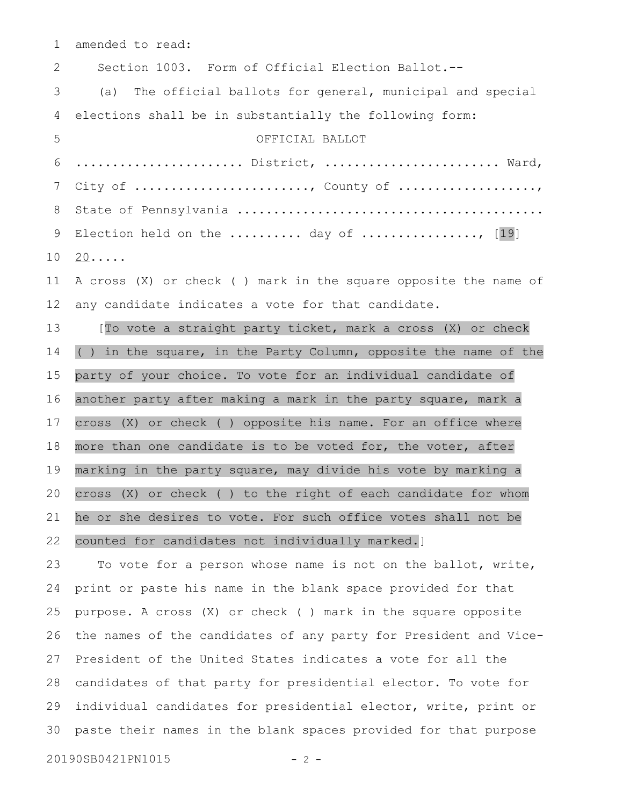amended to read: 1

Section 1003. Form of Official Election Ballot.-- (a) The official ballots for general, municipal and special elections shall be in substantially the following form: OFFICIAL BALLOT ....................... District, ........................ Ward, City of  $\dots\dots\dots\dots\dots\dots\dots\dots\dots$ , County of  $\dots\dots\dots\dots\dots\dots\dots$ State of Pennsylvania .......................................... Election held on the .......... day of  $\ldots$ ............., [19]  $20 \ldots$ A cross (X) or check ( ) mark in the square opposite the name of any candidate indicates a vote for that candidate. [To vote a straight party ticket, mark a cross (X) or check ( ) in the square, in the Party Column, opposite the name of the party of your choice. To vote for an individual candidate of another party after making a mark in the party square, mark a cross (X) or check ( ) opposite his name. For an office where more than one candidate is to be voted for, the voter, after marking in the party square, may divide his vote by marking a cross (X) or check ( ) to the right of each candidate for whom he or she desires to vote. For such office votes shall not be 2 3 4 5 6 7 8 9 10 11 12 13 14 15 16 17 18 19 20 21

## counted for candidates not individually marked.] 22

To vote for a person whose name is not on the ballot, write, print or paste his name in the blank space provided for that purpose. A cross (X) or check ( ) mark in the square opposite the names of the candidates of any party for President and Vice-President of the United States indicates a vote for all the candidates of that party for presidential elector. To vote for individual candidates for presidential elector, write, print or paste their names in the blank spaces provided for that purpose 23 24 25 26 27 28 29 30

20190SB0421PN1015 - 2 -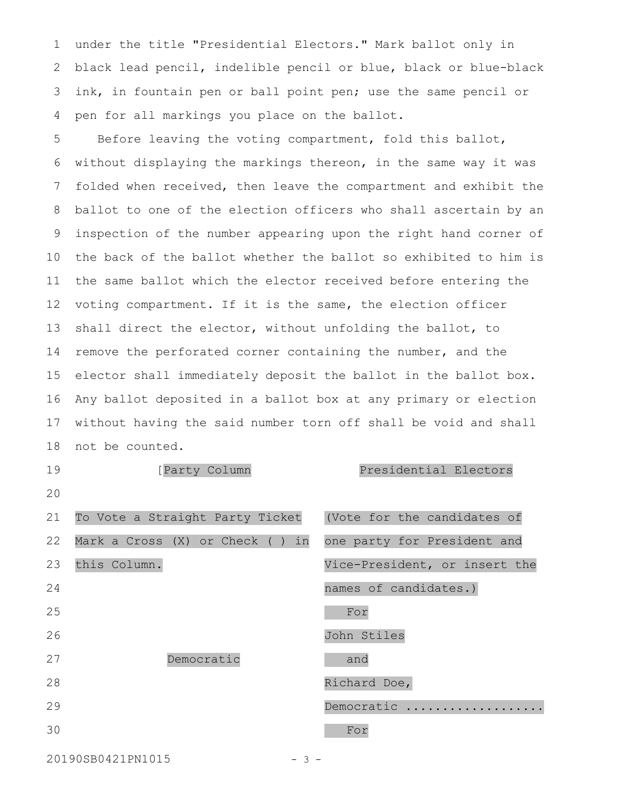under the title "Presidential Electors." Mark ballot only in black lead pencil, indelible pencil or blue, black or blue-black ink, in fountain pen or ball point pen; use the same pencil or pen for all markings you place on the ballot. 1 2 3 4

Before leaving the voting compartment, fold this ballot, without displaying the markings thereon, in the same way it was folded when received, then leave the compartment and exhibit the ballot to one of the election officers who shall ascertain by an inspection of the number appearing upon the right hand corner of the back of the ballot whether the ballot so exhibited to him is the same ballot which the elector received before entering the voting compartment. If it is the same, the election officer shall direct the elector, without unfolding the ballot, to remove the perforated corner containing the number, and the elector shall immediately deposit the ballot in the ballot box. Any ballot deposited in a ballot box at any primary or election without having the said number torn off shall be void and shall not be counted. 5 6 7 8 9 10 11 12 13 14 15 16 17 18

[Party Column Presidential Electors To Vote a Straight Party Ticket Mark a Cross (X) or Check ( ) in this Column. (Vote for the candidates of one party for President and Vice-President, or insert the names of candidates.) Democratic For John Stiles and Richard Doe, Democratic .................. For 19 20 21 22 23 24 25 26 27 28 29 30

20190SB0421PN1015 - 3 -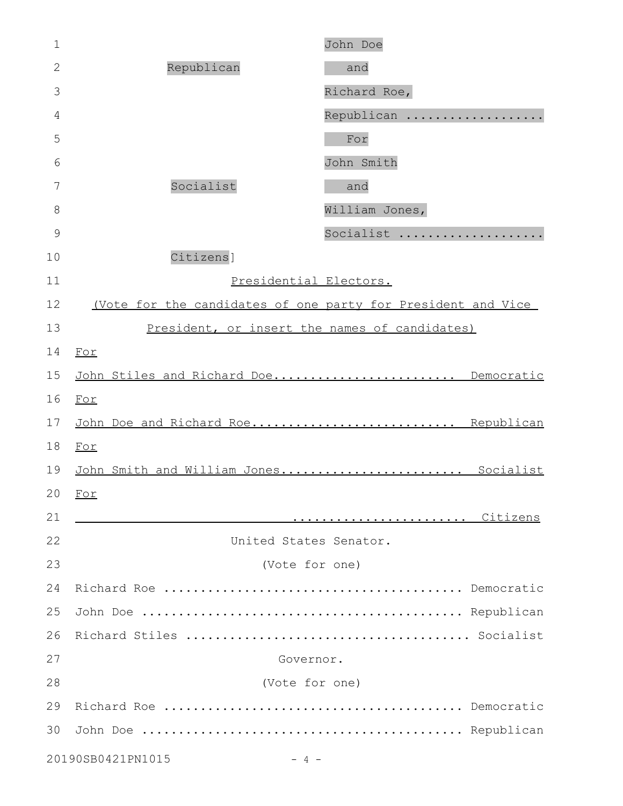| $\mathbf 1$                 |                                                              | John Doe       |
|-----------------------------|--------------------------------------------------------------|----------------|
| $\overline{2}$              | Republican                                                   | and            |
| 3                           |                                                              | Richard Roe,   |
| 4                           |                                                              | Republican     |
| 5                           |                                                              | For            |
| 6                           |                                                              | John Smith     |
| 7                           | Socialist                                                    | and            |
| 8                           |                                                              | William Jones, |
| 9                           |                                                              | Socialist      |
| 10                          | Citizens]                                                    |                |
| 11                          | Presidential Electors.                                       |                |
| 12                          | (Vote for the candidates of one party for President and Vice |                |
| 13                          | President, or insert the names of candidates)                |                |
| 14                          | For                                                          |                |
| 15                          | John Stiles and Richard Doe Democratic                       |                |
| 16                          | For                                                          |                |
| 17                          | John Doe and Richard Roe Republican                          |                |
| 18                          | For                                                          |                |
| 19                          | John Smith and William Jones Socialist                       |                |
|                             | $20$ For                                                     |                |
| 21                          |                                                              |                |
| 22                          | United States Senator.                                       |                |
| 23                          | (Vote for one)                                               |                |
| 24                          |                                                              |                |
| 25                          |                                                              |                |
| 26                          |                                                              |                |
| 27                          | Governor.                                                    |                |
| 28                          | (Vote for one)                                               |                |
| 29                          |                                                              |                |
| 30                          |                                                              |                |
| 20190SB0421PN1015<br>$-4$ - |                                                              |                |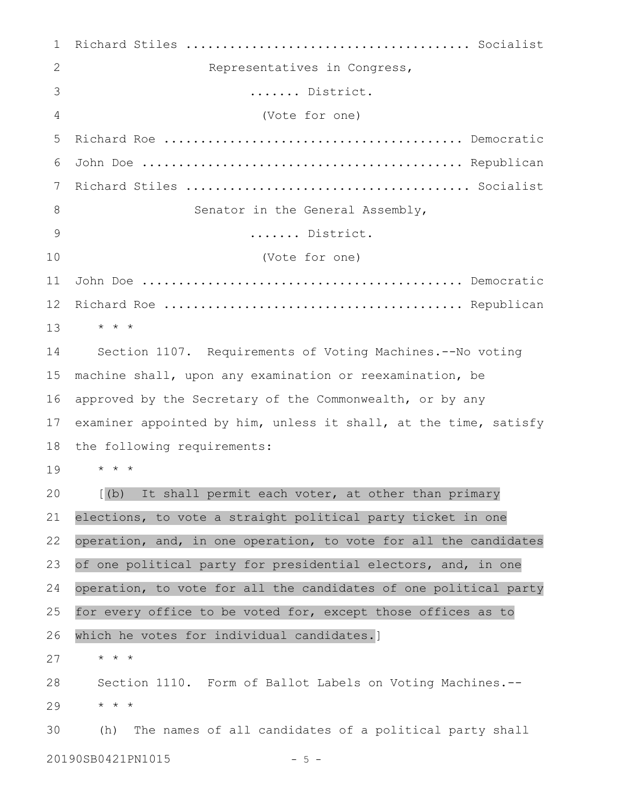| 1              |                                                                  |  |
|----------------|------------------------------------------------------------------|--|
| 2              | Representatives in Congress,                                     |  |
| 3              | District.                                                        |  |
| $\overline{4}$ | (Vote for one)                                                   |  |
| 5              |                                                                  |  |
| 6              |                                                                  |  |
| 7              |                                                                  |  |
| 8              | Senator in the General Assembly,                                 |  |
| 9              | District.                                                        |  |
| 10             | (Vote for one)                                                   |  |
| 11             |                                                                  |  |
| 12             |                                                                  |  |
| 13             | $\star$ $\star$ $\star$                                          |  |
| 14             | Section 1107. Requirements of Voting Machines.--No voting        |  |
| 15             | machine shall, upon any examination or reexamination, be         |  |
| 16             | approved by the Secretary of the Commonwealth, or by any         |  |
| 17             | examiner appointed by him, unless it shall, at the time, satisfy |  |
| 18             | the following requirements:                                      |  |
| 19             | * * *                                                            |  |
| 20             | [(b) It shall permit each voter, at other than primary           |  |
| 21             | elections, to vote a straight political party ticket in one      |  |
| 22             | operation, and, in one operation, to vote for all the candidates |  |
| 23             | of one political party for presidential electors, and, in one    |  |
| 24             | operation, to vote for all the candidates of one political party |  |
| 25             | for every office to be voted for, except those offices as to     |  |
| 26             | which he votes for individual candidates.]                       |  |
| 27             | $\star$ $\star$ $\star$                                          |  |
| 28             | Section 1110. Form of Ballot Labels on Voting Machines.--        |  |
| 29             | $\star$ $\star$ $\star$                                          |  |
| 30             | The names of all candidates of a political party shall<br>(h)    |  |
|                |                                                                  |  |

20190SB0421PN1015 - 5 -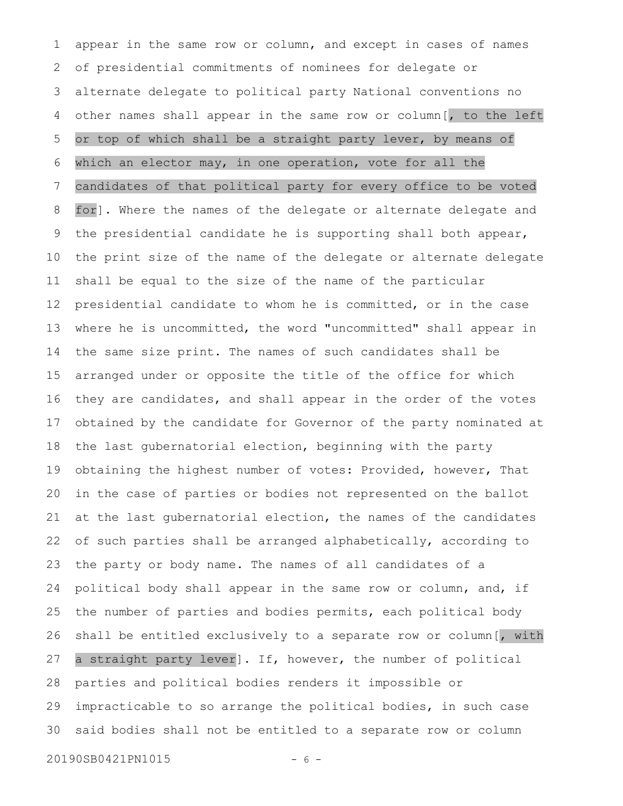appear in the same row or column, and except in cases of names of presidential commitments of nominees for delegate or alternate delegate to political party National conventions no other names shall appear in the same row or column[, to the left or top of which shall be a straight party lever, by means of which an elector may, in one operation, vote for all the candidates of that political party for every office to be voted for]. Where the names of the delegate or alternate delegate and the presidential candidate he is supporting shall both appear, the print size of the name of the delegate or alternate delegate shall be equal to the size of the name of the particular presidential candidate to whom he is committed, or in the case where he is uncommitted, the word "uncommitted" shall appear in the same size print. The names of such candidates shall be arranged under or opposite the title of the office for which they are candidates, and shall appear in the order of the votes obtained by the candidate for Governor of the party nominated at the last gubernatorial election, beginning with the party obtaining the highest number of votes: Provided, however, That in the case of parties or bodies not represented on the ballot at the last gubernatorial election, the names of the candidates of such parties shall be arranged alphabetically, according to the party or body name. The names of all candidates of a political body shall appear in the same row or column, and, if the number of parties and bodies permits, each political body shall be entitled exclusively to a separate row or column[, with a straight party lever]. If, however, the number of political parties and political bodies renders it impossible or impracticable to so arrange the political bodies, in such case said bodies shall not be entitled to a separate row or column 1 2 3 4 5 6 7 8 9 10 11 12 13 14 15 16 17 18 19 20 21 22 23 24 25 26 27 28 29 30

20190SB0421PN1015 - 6 -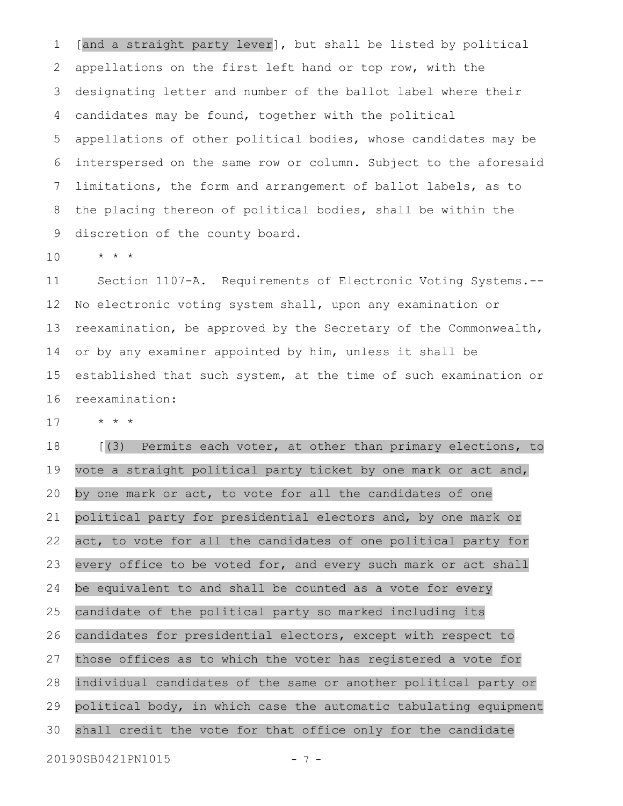[and a straight party lever], but shall be listed by political appellations on the first left hand or top row, with the designating letter and number of the ballot label where their candidates may be found, together with the political appellations of other political bodies, whose candidates may be interspersed on the same row or column. Subject to the aforesaid limitations, the form and arrangement of ballot labels, as to the placing thereon of political bodies, shall be within the discretion of the county board. 1 2 3 4 5 6 7 8 9

\* \* \* 10

Section 1107-A. Requirements of Electronic Voting Systems.-- No electronic voting system shall, upon any examination or reexamination, be approved by the Secretary of the Commonwealth, or by any examiner appointed by him, unless it shall be established that such system, at the time of such examination or reexamination: 11 12 13 14 15 16

\* \* \* 17

[(3) Permits each voter, at other than primary elections, to vote a straight political party ticket by one mark or act and, by one mark or act, to vote for all the candidates of one political party for presidential electors and, by one mark or act, to vote for all the candidates of one political party for every office to be voted for, and every such mark or act shall be equivalent to and shall be counted as a vote for every candidate of the political party so marked including its candidates for presidential electors, except with respect to those offices as to which the voter has registered a vote for individual candidates of the same or another political party or political body, in which case the automatic tabulating equipment shall credit the vote for that office only for the candidate 18 19 20 21 22 23 24 25 26 27 28 29 30

20190SB0421PN1015 - 7 -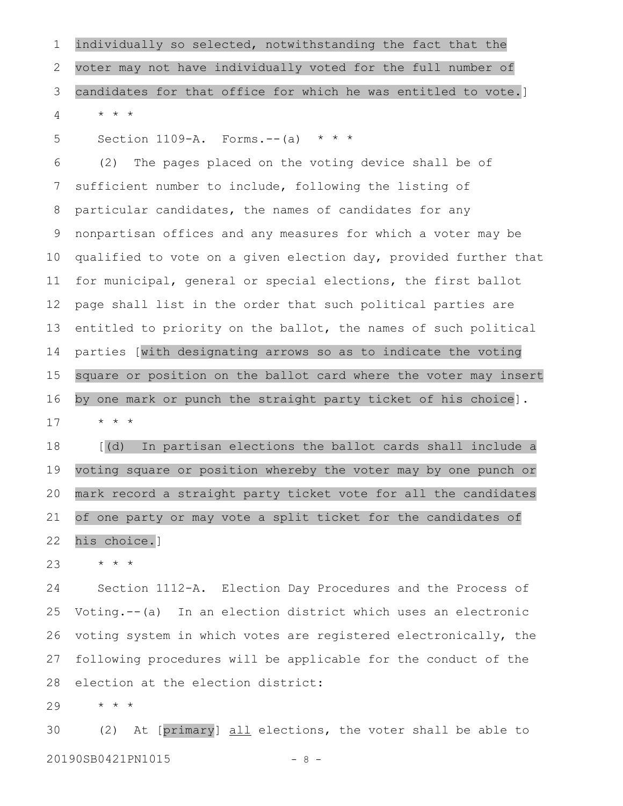individually so selected, notwithstanding the fact that the voter may not have individually voted for the full number of candidates for that office for which he was entitled to vote.]  $\star$   $\hspace{0.1cm} \star$   $\hspace{0.1cm} \star$ 1 2 3 4

Section 1109-A. Forms.--(a)  $* * *$ 5

(2) The pages placed on the voting device shall be of sufficient number to include, following the listing of particular candidates, the names of candidates for any nonpartisan offices and any measures for which a voter may be qualified to vote on a given election day, provided further that for municipal, general or special elections, the first ballot page shall list in the order that such political parties are entitled to priority on the ballot, the names of such political parties [with designating arrows so as to indicate the voting square or position on the ballot card where the voter may insert by one mark or punch the straight party ticket of his choice]. \* \* \* 6 7 8 9 10 11 12 13 14 15 16 17

[(d) In partisan elections the ballot cards shall include a voting square or position whereby the voter may by one punch or mark record a straight party ticket vote for all the candidates of one party or may vote a split ticket for the candidates of his choice.] 18 19 20 21 22

\* \* \* 23

Section 1112-A. Election Day Procedures and the Process of Voting.--(a) In an election district which uses an electronic voting system in which votes are registered electronically, the following procedures will be applicable for the conduct of the election at the election district: 24 25 26 27 28

\* \* \* 29

(2) At [primary] all elections, the voter shall be able to 20190SB0421PN1015 - 8 -30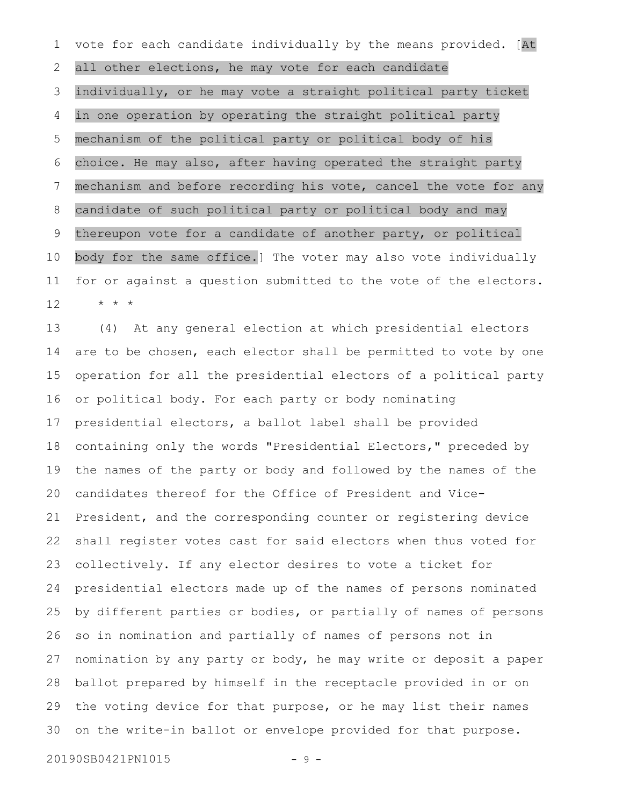vote for each candidate individually by the means provided. [At all other elections, he may vote for each candidate individually, or he may vote a straight political party ticket in one operation by operating the straight political party mechanism of the political party or political body of his choice. He may also, after having operated the straight party mechanism and before recording his vote, cancel the vote for any candidate of such political party or political body and may thereupon vote for a candidate of another party, or political body for the same office.] The voter may also vote individually for or against a question submitted to the vote of the electors. \* \* \* 1 2 3 4 5 6 7 8 9 10 11 12

(4) At any general election at which presidential electors are to be chosen, each elector shall be permitted to vote by one operation for all the presidential electors of a political party or political body. For each party or body nominating presidential electors, a ballot label shall be provided containing only the words "Presidential Electors," preceded by the names of the party or body and followed by the names of the candidates thereof for the Office of President and Vice-President, and the corresponding counter or registering device shall register votes cast for said electors when thus voted for collectively. If any elector desires to vote a ticket for presidential electors made up of the names of persons nominated by different parties or bodies, or partially of names of persons so in nomination and partially of names of persons not in nomination by any party or body, he may write or deposit a paper ballot prepared by himself in the receptacle provided in or on the voting device for that purpose, or he may list their names on the write-in ballot or envelope provided for that purpose. 13 14 15 16 17 18 19 20 21 22 23 24 25 26 27 28 29 30

20190SB0421PN1015 - 9 -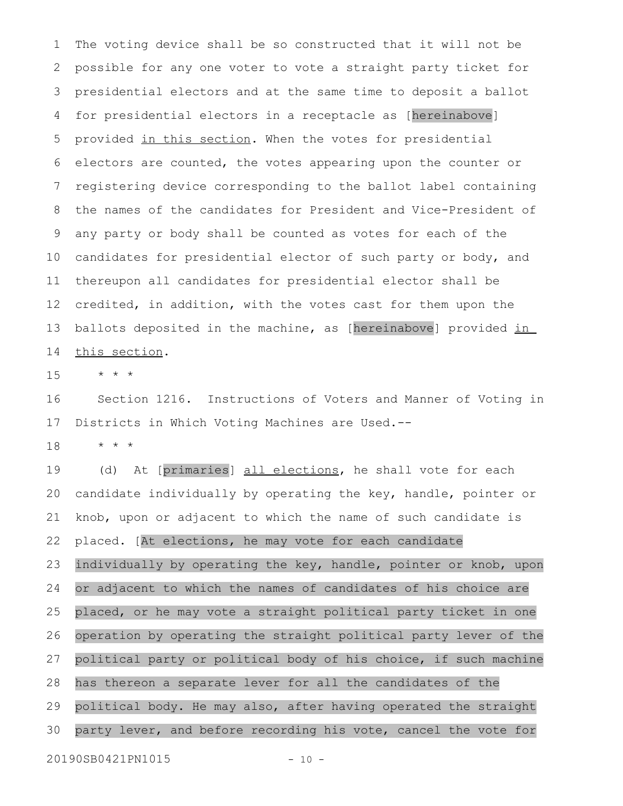The voting device shall be so constructed that it will not be possible for any one voter to vote a straight party ticket for presidential electors and at the same time to deposit a ballot for presidential electors in a receptacle as [hereinabove] provided in this section. When the votes for presidential electors are counted, the votes appearing upon the counter or registering device corresponding to the ballot label containing the names of the candidates for President and Vice-President of any party or body shall be counted as votes for each of the candidates for presidential elector of such party or body, and thereupon all candidates for presidential elector shall be credited, in addition, with the votes cast for them upon the ballots deposited in the machine, as [hereinabove] provided in this section. 1 2 3 4 5 6 7 8 9 10 11 12 13 14

\* \* \* 15

Section 1216. Instructions of Voters and Manner of Voting in Districts in Which Voting Machines are Used.-- 16 17

\* \* \* 18

(d) At [primaries] all elections, he shall vote for each candidate individually by operating the key, handle, pointer or knob, upon or adjacent to which the name of such candidate is placed. [At elections, he may vote for each candidate individually by operating the key, handle, pointer or knob, upon or adjacent to which the names of candidates of his choice are placed, or he may vote a straight political party ticket in one operation by operating the straight political party lever of the political party or political body of his choice, if such machine has thereon a separate lever for all the candidates of the political body. He may also, after having operated the straight party lever, and before recording his vote, cancel the vote for 19 20 21 22 23 24 25 26 27 28 29 30

20190SB0421PN1015 - 10 -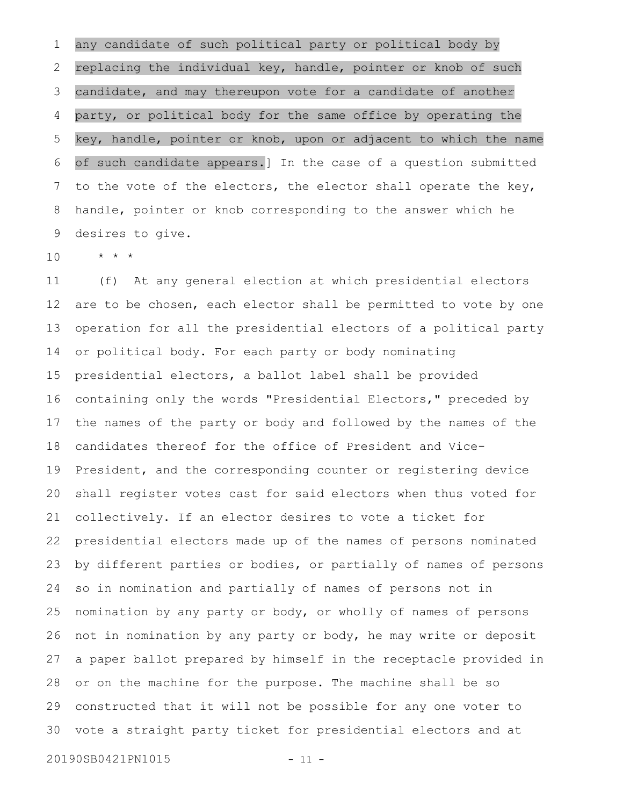any candidate of such political party or political body by replacing the individual key, handle, pointer or knob of such candidate, and may thereupon vote for a candidate of another party, or political body for the same office by operating the key, handle, pointer or knob, upon or adjacent to which the name of such candidate appears.] In the case of a question submitted to the vote of the electors, the elector shall operate the key, handle, pointer or knob corresponding to the answer which he desires to give. 1 2 3 4 5 6 7 8 9

 $\star$   $\hspace{0.1cm} \star$   $\hspace{0.1cm} \star$ 10

(f) At any general election at which presidential electors are to be chosen, each elector shall be permitted to vote by one operation for all the presidential electors of a political party or political body. For each party or body nominating presidential electors, a ballot label shall be provided containing only the words "Presidential Electors," preceded by the names of the party or body and followed by the names of the candidates thereof for the office of President and Vice-President, and the corresponding counter or registering device shall register votes cast for said electors when thus voted for collectively. If an elector desires to vote a ticket for presidential electors made up of the names of persons nominated by different parties or bodies, or partially of names of persons so in nomination and partially of names of persons not in nomination by any party or body, or wholly of names of persons not in nomination by any party or body, he may write or deposit a paper ballot prepared by himself in the receptacle provided in or on the machine for the purpose. The machine shall be so constructed that it will not be possible for any one voter to vote a straight party ticket for presidential electors and at 11 12 13 14 15 16 17 18 19 20 21 22 23 24 25 26 27 28 29 30

20190SB0421PN1015 - 11 -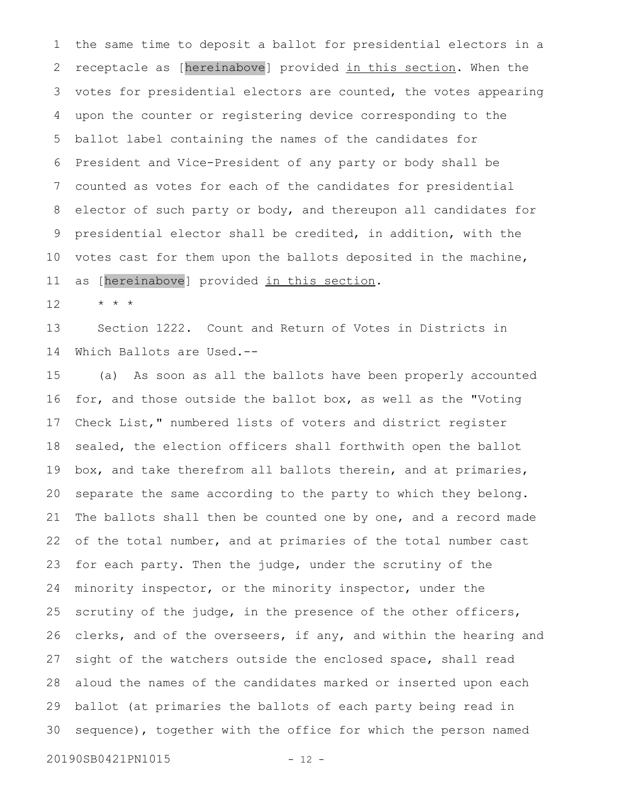the same time to deposit a ballot for presidential electors in a receptacle as [hereinabove] provided in this section. When the votes for presidential electors are counted, the votes appearing upon the counter or registering device corresponding to the ballot label containing the names of the candidates for President and Vice-President of any party or body shall be counted as votes for each of the candidates for presidential elector of such party or body, and thereupon all candidates for presidential elector shall be credited, in addition, with the votes cast for them upon the ballots deposited in the machine, as [hereinabove] provided in this section. 1 2 3 4 5 6 7 8 9 10 11

\* \* \* 12

Section 1222. Count and Return of Votes in Districts in Which Ballots are Used.-- 13 14

(a) As soon as all the ballots have been properly accounted for, and those outside the ballot box, as well as the "Voting Check List," numbered lists of voters and district register sealed, the election officers shall forthwith open the ballot box, and take therefrom all ballots therein, and at primaries, separate the same according to the party to which they belong. The ballots shall then be counted one by one, and a record made of the total number, and at primaries of the total number cast for each party. Then the judge, under the scrutiny of the minority inspector, or the minority inspector, under the scrutiny of the judge, in the presence of the other officers, clerks, and of the overseers, if any, and within the hearing and sight of the watchers outside the enclosed space, shall read aloud the names of the candidates marked or inserted upon each ballot (at primaries the ballots of each party being read in sequence), together with the office for which the person named 15 16 17 18 19 20 21 22 23 24 25 26 27 28 29 30

20190SB0421PN1015 - 12 -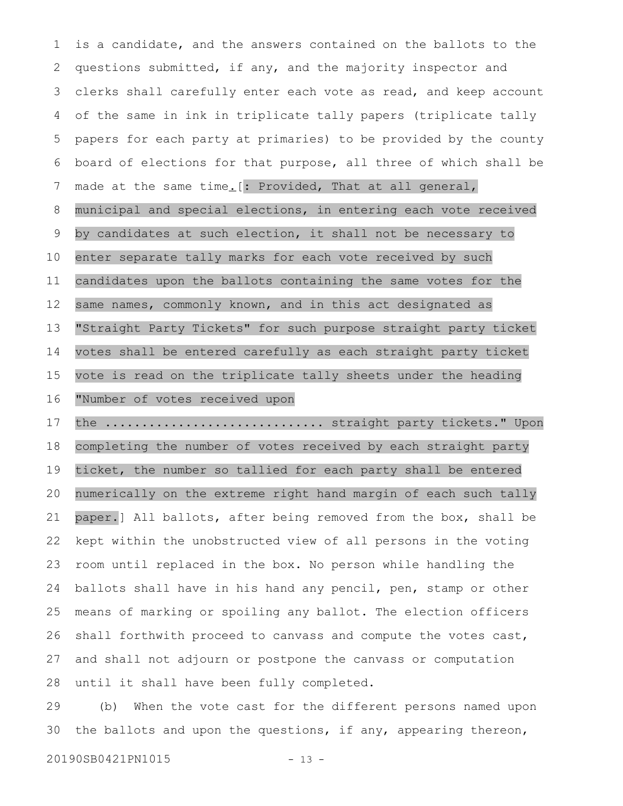is a candidate, and the answers contained on the ballots to the questions submitted, if any, and the majority inspector and clerks shall carefully enter each vote as read, and keep account of the same in ink in triplicate tally papers (triplicate tally papers for each party at primaries) to be provided by the county board of elections for that purpose, all three of which shall be made at the same time. [: Provided, That at all general, municipal and special elections, in entering each vote received by candidates at such election, it shall not be necessary to enter separate tally marks for each vote received by such candidates upon the ballots containing the same votes for the same names, commonly known, and in this act designated as "Straight Party Tickets" for such purpose straight party ticket votes shall be entered carefully as each straight party ticket vote is read on the triplicate tally sheets under the heading "Number of votes received upon the ................................ straight party tickets." Upon completing the number of votes received by each straight party 1 2 3 4 5 6 7 8 9 10 11 12 13 14 15 16 17 18

ticket, the number so tallied for each party shall be entered numerically on the extreme right hand margin of each such tally paper.] All ballots, after being removed from the box, shall be kept within the unobstructed view of all persons in the voting room until replaced in the box. No person while handling the ballots shall have in his hand any pencil, pen, stamp or other means of marking or spoiling any ballot. The election officers shall forthwith proceed to canvass and compute the votes cast, and shall not adjourn or postpone the canvass or computation until it shall have been fully completed. 19 20 21 22 23 24 25 26 27 28

(b) When the vote cast for the different persons named upon the ballots and upon the questions, if any, appearing thereon, 29 30

20190SB0421PN1015 - 13 -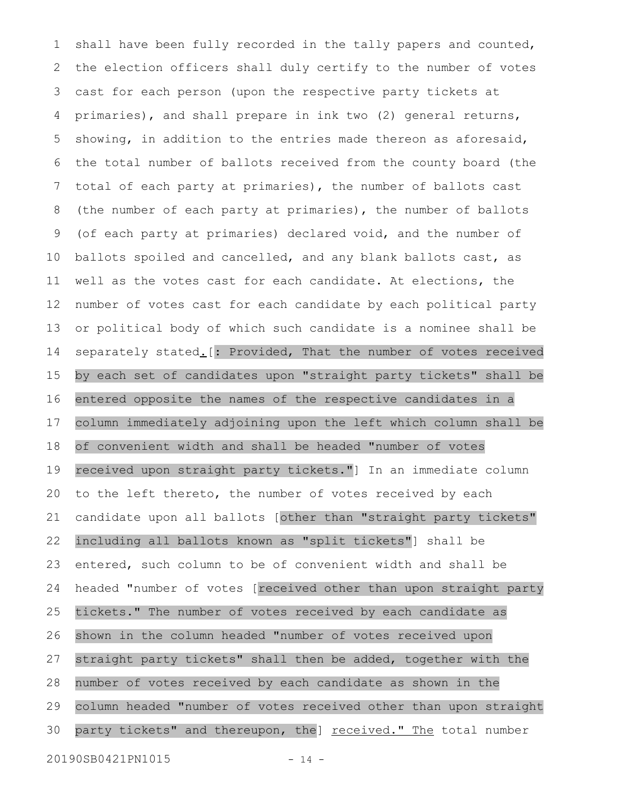shall have been fully recorded in the tally papers and counted, the election officers shall duly certify to the number of votes cast for each person (upon the respective party tickets at primaries), and shall prepare in ink two (2) general returns, showing, in addition to the entries made thereon as aforesaid, the total number of ballots received from the county board (the total of each party at primaries), the number of ballots cast (the number of each party at primaries), the number of ballots (of each party at primaries) declared void, and the number of ballots spoiled and cancelled, and any blank ballots cast, as well as the votes cast for each candidate. At elections, the number of votes cast for each candidate by each political party or political body of which such candidate is a nominee shall be separately stated. [: Provided, That the number of votes received by each set of candidates upon "straight party tickets" shall be entered opposite the names of the respective candidates in a column immediately adjoining upon the left which column shall be of convenient width and shall be headed "number of votes received upon straight party tickets."] In an immediate column to the left thereto, the number of votes received by each candidate upon all ballots [other than "straight party tickets" including all ballots known as "split tickets"] shall be entered, such column to be of convenient width and shall be headed "number of votes [received other than upon straight party tickets." The number of votes received by each candidate as shown in the column headed "number of votes received upon straight party tickets" shall then be added, together with the number of votes received by each candidate as shown in the column headed "number of votes received other than upon straight party tickets" and thereupon, the] received." The total number 1 2 3 4 5 6 7 8 9 10 11 12 13 14 15 16 17 18 19 20 21 22 23 24 25 26 27 28 29 30

20190SB0421PN1015 - 14 -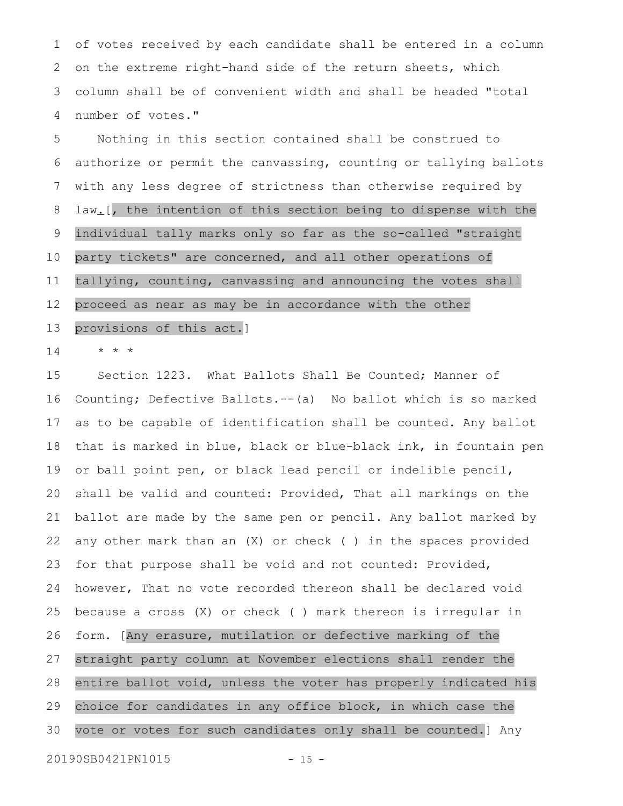of votes received by each candidate shall be entered in a column on the extreme right-hand side of the return sheets, which column shall be of convenient width and shall be headed "total number of votes." 1 2 3 4

Nothing in this section contained shall be construed to authorize or permit the canvassing, counting or tallying ballots with any less degree of strictness than otherwise required by law<sub>-</sub>[, the intention of this section being to dispense with the individual tally marks only so far as the so-called "straight party tickets" are concerned, and all other operations of tallying, counting, canvassing and announcing the votes shall proceed as near as may be in accordance with the other provisions of this act.] 5 6 7 8 9 10 11 12 13

\* \* \* 14

Section 1223. What Ballots Shall Be Counted; Manner of Counting; Defective Ballots.--(a) No ballot which is so marked as to be capable of identification shall be counted. Any ballot that is marked in blue, black or blue-black ink, in fountain pen or ball point pen, or black lead pencil or indelible pencil, shall be valid and counted: Provided, That all markings on the ballot are made by the same pen or pencil. Any ballot marked by any other mark than an  $(X)$  or check () in the spaces provided for that purpose shall be void and not counted: Provided, however, That no vote recorded thereon shall be declared void because a cross (X) or check ( ) mark thereon is irregular in form. [Any erasure, mutilation or defective marking of the straight party column at November elections shall render the entire ballot void, unless the voter has properly indicated his choice for candidates in any office block, in which case the vote or votes for such candidates only shall be counted.] Any 15 16 17 18 19 20 21 22 23 24 25 26 27 28 29 30

20190SB0421PN1015 - 15 -